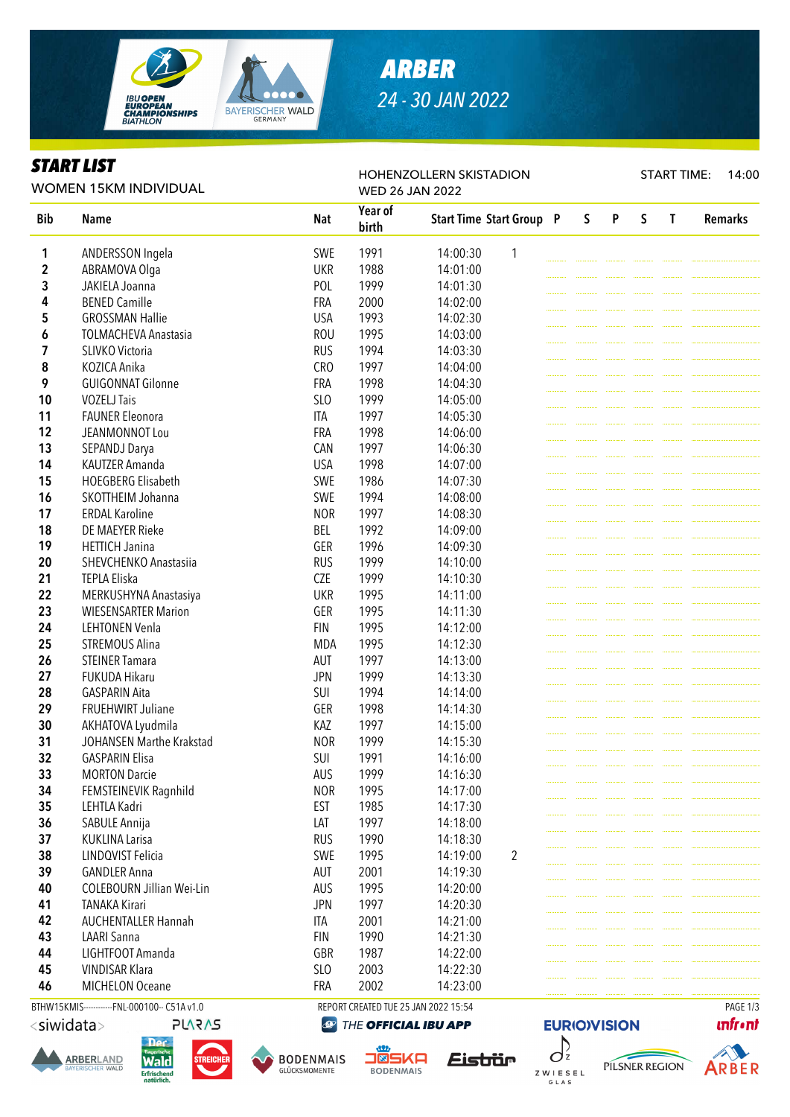

# *ARBER 24 - 30 JAN 2022*

HOHENZOLLERN SKISTADION

### *START LIST*

START TIME: 14:00

|             | WOMEN 15KM INDIVIDUAL            |                 | ◥▵◡▴◣◣<br><b>WED 26 JAN 2022</b> |                                 |                |  |   |   |              |              |                |  |  |
|-------------|----------------------------------|-----------------|----------------------------------|---------------------------------|----------------|--|---|---|--------------|--------------|----------------|--|--|
| <b>Bib</b>  | <b>Name</b>                      | <b>Nat</b>      | Year of<br>birth                 | <b>Start Time Start Group P</b> |                |  | S | P | $\mathsf{S}$ | $\mathbf{T}$ | <b>Remarks</b> |  |  |
| 1           | ANDERSSON Ingela                 | SWE             | 1991                             | 14:00:30                        | 1              |  |   |   |              |              |                |  |  |
| $\mathbf 2$ | ABRAMOVA Olga                    | <b>UKR</b>      | 1988                             | 14:01:00                        |                |  |   |   |              |              |                |  |  |
| 3           | JAKIELA Joanna                   | POL             | 1999                             | 14:01:30                        |                |  |   |   |              |              |                |  |  |
| 4           | <b>BENED Camille</b>             | <b>FRA</b>      | 2000                             | 14:02:00                        |                |  |   |   |              |              |                |  |  |
| 5           | <b>GROSSMAN Hallie</b>           | <b>USA</b>      | 1993                             | 14:02:30                        |                |  |   |   |              |              |                |  |  |
| 6           | <b>TOLMACHEVA Anastasia</b>      | <b>ROU</b>      | 1995                             | 14:03:00                        |                |  |   |   |              |              |                |  |  |
| 7           | SLIVKO Victoria                  | <b>RUS</b>      | 1994                             | 14:03:30                        |                |  |   |   |              |              |                |  |  |
| 8           | KOZICA Anika                     | CRO             | 1997                             | 14:04:00                        |                |  |   |   |              |              |                |  |  |
| 9           | <b>GUIGONNAT Gilonne</b>         | <b>FRA</b>      | 1998                             | 14:04:30                        |                |  |   |   |              |              |                |  |  |
| 10          | <b>VOZELJ Tais</b>               | SL <sub>O</sub> | 1999                             | 14:05:00                        |                |  |   |   |              |              |                |  |  |
| 11          | <b>FAUNER Eleonora</b>           | ITA             | 1997                             | 14:05:30                        |                |  |   |   |              |              |                |  |  |
| 12          | JEANMONNOT Lou                   | <b>FRA</b>      | 1998                             | 14:06:00                        |                |  |   |   |              |              |                |  |  |
| 13          | SEPANDJ Darya                    | CAN             | 1997                             | 14:06:30                        |                |  |   |   |              |              |                |  |  |
| 14          | KAUTZER Amanda                   | <b>USA</b>      | 1998                             | 14:07:00                        |                |  |   |   |              |              |                |  |  |
| 15          | <b>HOEGBERG Elisabeth</b>        | SWE             | 1986                             | 14:07:30                        |                |  |   |   |              |              |                |  |  |
| 16          | SKOTTHEIM Johanna                | SWE             | 1994                             | 14:08:00                        |                |  |   |   |              |              |                |  |  |
| 17          | <b>ERDAL Karoline</b>            | <b>NOR</b>      | 1997                             | 14:08:30                        |                |  |   |   |              |              |                |  |  |
| 18          | DE MAEYER Rieke                  | <b>BEL</b>      | 1992                             | 14:09:00                        |                |  |   |   |              |              |                |  |  |
| 19          | <b>HETTICH Janina</b>            | GER             | 1996                             | 14:09:30                        |                |  |   |   |              |              |                |  |  |
| 20          | SHEVCHENKO Anastasija            | <b>RUS</b>      | 1999                             | 14:10:00                        |                |  |   |   |              |              |                |  |  |
| 21          | TEPLA Eliska                     | <b>CZE</b>      | 1999                             | 14:10:30                        |                |  |   |   |              |              |                |  |  |
| 22          | MERKUSHYNA Anastasiya            | <b>UKR</b>      | 1995                             | 14:11:00                        |                |  |   |   |              |              |                |  |  |
| 23          | <b>WIESENSARTER Marion</b>       | GER             | 1995                             | 14:11:30                        |                |  |   |   |              |              |                |  |  |
| 24          | <b>LEHTONEN Venla</b>            | <b>FIN</b>      | 1995                             | 14:12:00                        |                |  |   |   |              |              |                |  |  |
| 25          | <b>STREMOUS Alina</b>            | <b>MDA</b>      | 1995                             | 14:12:30                        |                |  |   |   |              |              |                |  |  |
| 26          | <b>STEINER Tamara</b>            | AUT             | 1997                             | 14:13:00                        |                |  |   |   |              |              |                |  |  |
| 27          | FUKUDA Hikaru                    | <b>JPN</b>      | 1999                             | 14:13:30                        |                |  |   |   |              |              |                |  |  |
| 28          | <b>GASPARIN Aita</b>             | SUI             | 1994                             | 14:14:00                        |                |  |   |   |              |              |                |  |  |
| 29          | FRUEHWIRT Juliane                | GER             | 1998                             | 14:14:30                        |                |  |   |   |              |              |                |  |  |
| 30          | AKHATOVA Lyudmila                | KAZ             | 1997                             | 14:15:00                        |                |  |   |   |              |              |                |  |  |
| 31          | JOHANSEN Marthe Krakstad         | <b>NOR</b>      | 1999                             | 14:15:30                        |                |  |   |   |              |              |                |  |  |
| 32          | <b>GASPARIN Elisa</b>            | SUI             | 1991                             | 14:16:00                        |                |  |   |   |              |              |                |  |  |
| 33          | <b>MORTON Darcie</b>             | AUS             | 1999                             | 14:16:30                        |                |  |   |   |              |              |                |  |  |
| 34          | FEMSTEINEVIK Ragnhild            | <b>NOR</b>      | 1995                             | 14:17:00                        |                |  |   |   |              |              |                |  |  |
| 35          | LEHTLA Kadri                     | <b>EST</b>      | 1985                             | 14:17:30                        |                |  |   |   |              |              |                |  |  |
| 36          | SABULE Annija                    | LAT             | 1997                             | 14:18:00                        |                |  |   |   |              |              |                |  |  |
| 37          | <b>KUKLINA Larisa</b>            | <b>RUS</b>      | 1990                             | 14:18:30                        |                |  |   |   |              |              |                |  |  |
| 38          | LINDQVIST Felicia                | SWE             | 1995                             | 14:19:00                        | $\overline{2}$ |  |   |   |              |              |                |  |  |
| 39          | <b>GANDLER Anna</b>              | AUT             | 2001                             | 14:19:30                        |                |  |   |   |              |              |                |  |  |
| 40          | <b>COLEBOURN Jillian Wei-Lin</b> | <b>AUS</b>      | 1995                             | 14:20:00                        |                |  |   |   |              |              |                |  |  |
| 41          | <b>TANAKA Kirari</b>             | <b>JPN</b>      | 1997                             | 14:20:30                        |                |  |   |   |              |              |                |  |  |
| 42          | <b>AUCHENTALLER Hannah</b>       | <b>ITA</b>      | 2001                             | 14:21:00                        |                |  |   |   |              |              |                |  |  |
| 43          | <b>LAARI Sanna</b>               | <b>FIN</b>      | 1990                             | 14:21:30                        |                |  |   |   |              |              |                |  |  |
| 44          | LIGHTFOOT Amanda                 | GBR             | 1987                             | 14:22:00                        |                |  |   |   |              |              |                |  |  |
| 45          | <b>VINDISAR Klara</b>            | SLO             | 2003                             | 14:22:30                        |                |  |   |   |              |              |                |  |  |
| 46          | <b>MICHELON Oceane</b>           | <b>FRA</b>      | 2002                             | 14:23:00                        |                |  |   |   |              |              |                |  |  |

BTHW15KMIS-----------FNL-000100-- C51A v1.0 REPORT CREATED TUE 25 JAN 2022 15:54 PAGE 1/3

<siwidata>





**PLARAS** 



THE OFFICIAL IBU APP









**unfront**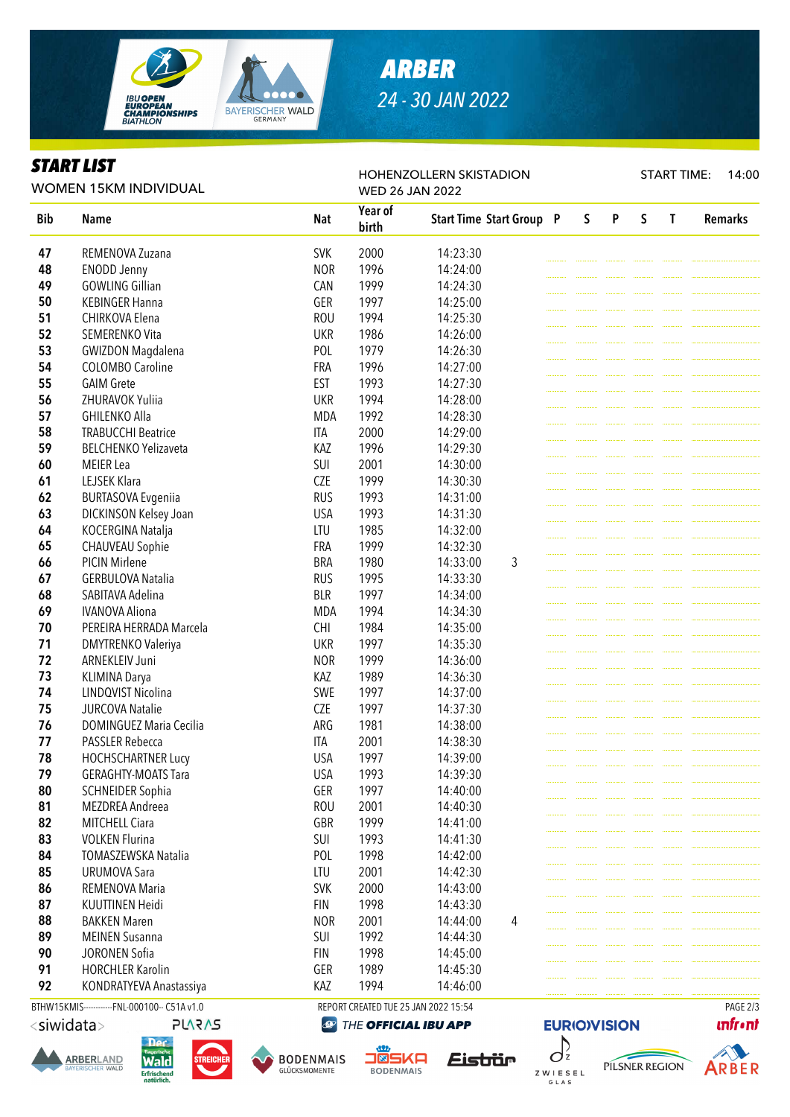

# *ARBER 24 - 30 JAN 2022*

HOHENZOLLERN SKISTADION

#### *START LIST*

START TIME: 14:00

| <b>WOMEN 15KM INDIVIDUAL</b> |                                        |                          | ◥▵◡◟◟<br><b>WED 26 JAN 2022</b> |                                 |  |              |   |   |   |                |  |  |
|------------------------------|----------------------------------------|--------------------------|---------------------------------|---------------------------------|--|--------------|---|---|---|----------------|--|--|
| <b>Bib</b>                   | <b>Name</b>                            | <b>Nat</b>               | Year of<br>birth                | <b>Start Time Start Group P</b> |  | $\mathsf{S}$ | P | S | T | <b>Remarks</b> |  |  |
| 47                           | REMENOVA Zuzana                        | <b>SVK</b>               | 2000                            | 14:23:30                        |  |              |   |   |   |                |  |  |
| 48                           | <b>ENODD Jenny</b>                     | <b>NOR</b>               | 1996                            | 14:24:00                        |  |              |   |   |   |                |  |  |
| 49                           | <b>GOWLING Gillian</b>                 | CAN                      | 1999                            | 14:24:30                        |  |              |   |   |   |                |  |  |
| 50                           | <b>KEBINGER Hanna</b>                  | GER                      | 1997                            | 14:25:00                        |  |              |   |   |   |                |  |  |
| 51                           | CHIRKOVA Elena                         | <b>ROU</b>               | 1994                            | 14:25:30                        |  |              |   |   |   |                |  |  |
| 52                           | SEMERENKO Vita                         | <b>UKR</b>               | 1986                            | 14:26:00                        |  |              |   |   |   |                |  |  |
| 53                           | <b>GWIZDON Magdalena</b>               | POL                      | 1979                            | 14:26:30                        |  |              |   |   |   |                |  |  |
| 54                           | <b>COLOMBO Caroline</b>                | <b>FRA</b>               | 1996                            | 14:27:00                        |  |              |   |   |   |                |  |  |
| 55                           | <b>GAIM Grete</b>                      | <b>EST</b>               | 1993                            | 14:27:30                        |  |              |   |   |   |                |  |  |
| 56                           | ZHURAVOK Yuliia                        | <b>UKR</b>               | 1994                            | 14:28:00                        |  |              |   |   |   |                |  |  |
| 57                           | <b>GHILENKO Alla</b>                   | <b>MDA</b>               | 1992                            | 14:28:30                        |  |              |   |   |   |                |  |  |
| 58                           | <b>TRABUCCHI Beatrice</b>              | <b>ITA</b>               | 2000                            | 14:29:00                        |  |              |   |   |   |                |  |  |
| 59                           | <b>BELCHENKO Yelizaveta</b>            | KAZ                      | 1996                            | 14:29:30                        |  |              |   |   |   |                |  |  |
| 60                           | <b>MEIER</b> Lea                       | SUI                      | 2001                            | 14:30:00                        |  |              |   |   |   |                |  |  |
| 61                           | LEJSEK Klara                           | <b>CZE</b>               | 1999                            | 14:30:30                        |  |              |   |   |   |                |  |  |
| 62                           | <b>BURTASOVA Evgeniia</b>              | <b>RUS</b>               | 1993                            | 14:31:00                        |  |              |   |   |   |                |  |  |
| 63                           | DICKINSON Kelsey Joan                  | <b>USA</b>               | 1993                            | 14:31:30                        |  |              |   |   |   |                |  |  |
| 64                           | KOCERGINA Natalja                      | LTU                      | 1985                            | 14:32:00                        |  |              |   |   |   |                |  |  |
| 65                           | <b>CHAUVEAU Sophie</b>                 | <b>FRA</b>               | 1999                            | 14:32:30                        |  |              |   |   |   |                |  |  |
| 66                           | <b>PICIN Mirlene</b>                   | <b>BRA</b>               | 1980                            | 14:33:00<br>3                   |  |              |   |   |   |                |  |  |
| 67                           | <b>GERBULOVA Natalia</b>               | <b>RUS</b>               | 1995                            | 14:33:30                        |  |              |   |   |   |                |  |  |
| 68                           | SABITAVA Adelina                       | <b>BLR</b>               | 1997                            | 14:34:00                        |  |              |   |   |   |                |  |  |
| 69                           | <b>IVANOVA Aliona</b>                  | <b>MDA</b>               | 1994                            | 14:34:30                        |  |              |   |   |   |                |  |  |
| 70                           | PEREIRA HERRADA Marcela                | <b>CHI</b>               | 1984                            | 14:35:00                        |  |              |   |   |   |                |  |  |
| 71                           | <b>DMYTRENKO Valeriya</b>              | <b>UKR</b>               | 1997                            | 14:35:30                        |  |              |   |   |   |                |  |  |
| 72                           | ARNEKLEIV Juni                         | <b>NOR</b>               | 1999                            | 14:36:00                        |  |              |   |   |   |                |  |  |
| 73                           | <b>KLIMINA Darya</b>                   | KAZ                      | 1989                            | 14:36:30                        |  |              |   |   |   |                |  |  |
| 74                           | LINDQVIST Nicolina                     | SWE                      | 1997                            | 14:37:00                        |  |              |   |   |   |                |  |  |
| 75                           | <b>JURCOVA Natalie</b>                 | <b>CZE</b>               | 1997                            | 14:37:30                        |  |              |   |   |   |                |  |  |
| 76                           | <b>DOMINGUEZ Maria Cecilia</b>         | ARG                      | 1981                            | 14:38:00                        |  |              |   |   |   |                |  |  |
| 77                           | PASSLER Rebecca                        | <b>ITA</b>               | 2001                            | 14:38:30                        |  |              |   |   |   |                |  |  |
| 78                           | <b>HOCHSCHARTNER Lucy</b>              | <b>USA</b>               | 1997                            | 14:39:00                        |  |              |   |   |   |                |  |  |
| 79                           | <b>GERAGHTY-MOATS Tara</b>             | <b>USA</b>               | 1993                            | 14:39:30                        |  |              |   |   |   |                |  |  |
| 80                           | <b>SCHNEIDER Sophia</b>                | GER                      | 1997                            | 14:40:00                        |  |              |   |   |   |                |  |  |
| 81                           | MEZDREA Andreea                        | <b>ROU</b>               | 2001                            | 14:40:30                        |  |              |   |   |   |                |  |  |
| 82                           | MITCHELL Ciara                         | GBR                      | 1999                            | 14:41:00                        |  |              |   |   |   |                |  |  |
| 83                           | <b>VOLKEN Flurina</b>                  | SUI                      | 1993                            | 14:41:30                        |  |              |   |   |   |                |  |  |
| 84                           | TOMASZEWSKA Natalia                    | POL                      | 1998                            | 14:42:00                        |  |              |   |   |   |                |  |  |
| 85                           | <b>URUMOVA Sara</b>                    | LTU                      | 2001                            | 14:42:30                        |  |              |   |   |   |                |  |  |
| 86                           | REMENOVA Maria                         | <b>SVK</b>               | 2000                            | 14:43:00                        |  |              |   |   |   |                |  |  |
| 87                           |                                        |                          |                                 |                                 |  |              |   |   |   |                |  |  |
| 88                           | KUUTTINEN Heidi<br><b>BAKKEN Maren</b> | <b>FIN</b><br><b>NOR</b> | 1998<br>2001                    | 14:43:30<br>14:44:00<br>4       |  |              |   |   |   |                |  |  |
| 89                           | <b>MEINEN Susanna</b>                  | SUI                      | 1992                            |                                 |  |              |   |   |   |                |  |  |
| 90                           |                                        | <b>FIN</b>               |                                 | 14:44:30                        |  |              |   |   |   |                |  |  |
| 91                           | JORONEN Sofia                          | GER                      | 1998                            | 14:45:00                        |  |              |   |   |   |                |  |  |
|                              | <b>HORCHLER Karolin</b>                | KAZ                      | 1989                            | 14:45:30                        |  |              |   |   |   |                |  |  |
| 92                           | KONDRATYEVA Anastassiya                |                          | 1994                            | 14:46:00                        |  |              |   |   |   |                |  |  |

BTHW15KMIS-----------FNL-000100-- C51A v1.0 REPORT CREATED TUE 25 JAN 2022 15:54 PAGE 2/3

<siwidata>









**BODENMAIS**